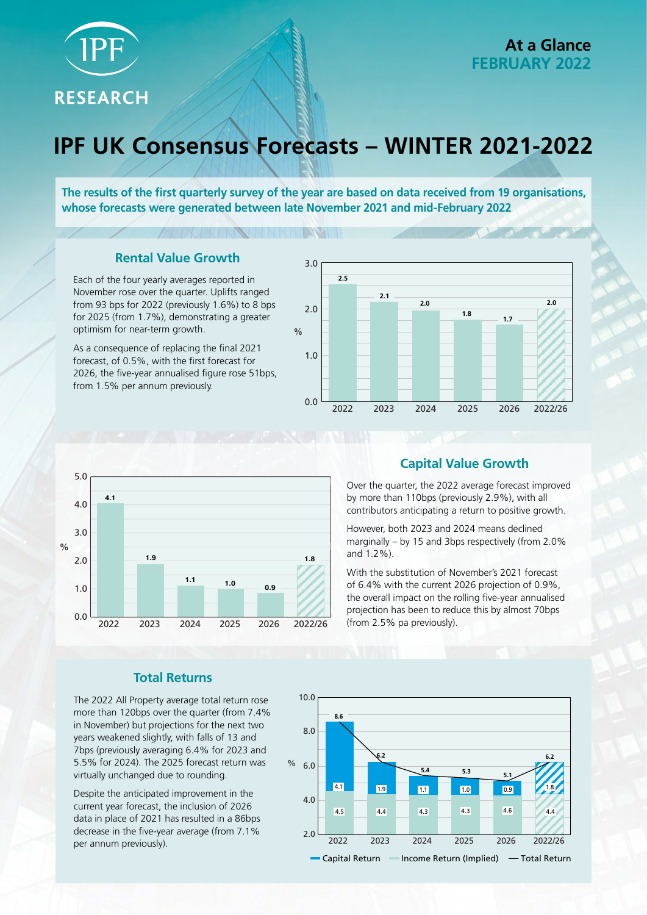

**RESEARCH** 

# **IPF UK Consensus Forecasts – WINTER 2021-2022**

**The results of the first quarterly survey of the year are based on data received from 19 organisations, whose forecasts were generated between late November 2021 and mid-February 2022**

**TERSIT** 

## **Rental Value Growth**

Each of the four yearly averages reported in November rose over the quarter. Uplifts ranged from 93 bps for 2022 (previously 1.6%) to 8 bps for 2025 (from 1.7%), demonstrating a greater optimism for near-term growth.

As a consequence of replacing the final 2021 forecast, of 0.5%, with the first forecast for 2026, the five-year annualised figure rose 51bps, from 1.5% per annum previously.





# **Capital Value Growth**

Over the quarter, the 2022 average forecast improved by more than 110bps (previously 2.9%), with all contributors anticipating a return to positive growth.

However, both 2023 and 2024 means declined marginally – by 15 and 3bps respectively (from 2.0% and 1.2%).

With the substitution of November's 2021 forecast of 6.4% with the current 2026 projection of 0.9%, the overall impact on the rolling five-year annualised projection has been to reduce this by almost 70bps (from 2.5% pa previously).

### **Total Returns**

The 2022 All Property average total return rose more than 120bps over the quarter (from 7.4% in November) but projections for the next two years weakened slightly, with falls of 13 and 7bps (previously averaging 6.4% for 2023 and 5.5% for 2024). The 2025 forecast return was virtually unchanged due to rounding.

Despite the anticipated improvement in the current year forecast, the inclusion of 2026 data in place of 2021 has resulted in a 86bps decrease in the five-year average (from 7.1% per annum previously).